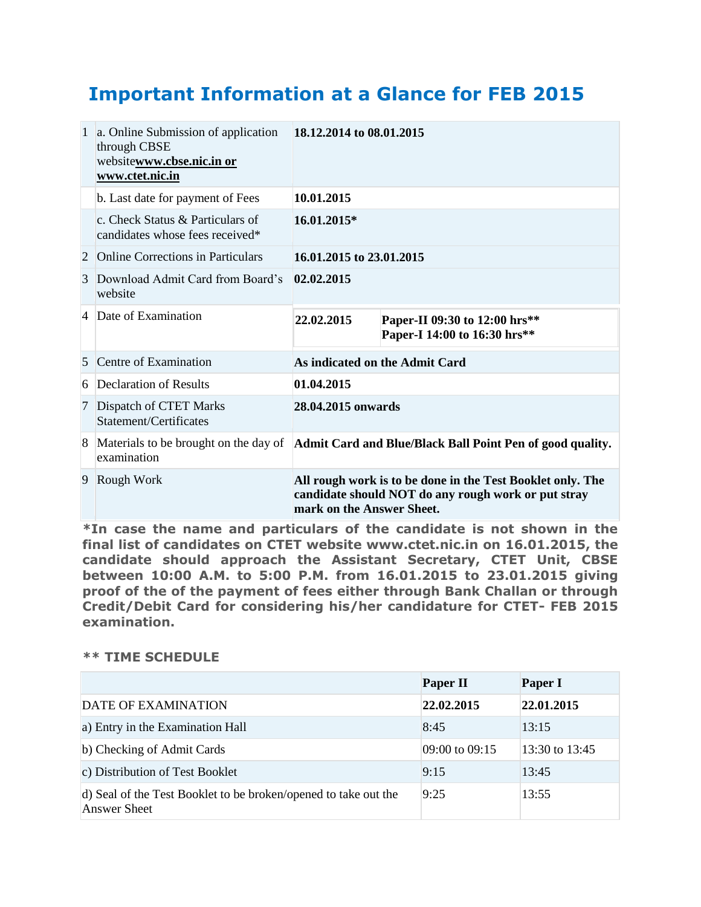## **Important Information at a Glance for FEB 2015**

|   | 1 a. Online Submission of application<br>through CBSE<br>websitewww.cbse.nic.in or<br>www.ctet.nic.in | 18.12.2014 to 08.01.2015                                                                                                                       |                                                               |  |
|---|-------------------------------------------------------------------------------------------------------|------------------------------------------------------------------------------------------------------------------------------------------------|---------------------------------------------------------------|--|
|   | b. Last date for payment of Fees                                                                      | 10.01.2015                                                                                                                                     |                                                               |  |
|   | c. Check Status & Particulars of<br>candidates whose fees received*                                   | 16.01.2015*                                                                                                                                    |                                                               |  |
| 2 | <b>Online Corrections in Particulars</b>                                                              | 16.01.2015 to 23.01.2015                                                                                                                       |                                                               |  |
| 3 | Download Admit Card from Board's<br>website                                                           | 02.02.2015                                                                                                                                     |                                                               |  |
|   | 4 Date of Examination                                                                                 | 22.02.2015                                                                                                                                     | Paper-II 09:30 to 12:00 hrs**<br>Paper-I 14:00 to 16:30 hrs** |  |
| 5 | Centre of Examination                                                                                 | As indicated on the Admit Card                                                                                                                 |                                                               |  |
|   | 6 Declaration of Results                                                                              | 01.04.2015                                                                                                                                     |                                                               |  |
|   | 7 Dispatch of CTET Marks<br>Statement/Certificates                                                    | 28.04.2015 onwards                                                                                                                             |                                                               |  |
| 8 | examination                                                                                           | Materials to be brought on the day of <b>Admit Card and Blue/Black Ball Point Pen of good quality.</b>                                         |                                                               |  |
| 9 | Rough Work                                                                                            | All rough work is to be done in the Test Booklet only. The<br>candidate should NOT do any rough work or put stray<br>mark on the Answer Sheet. |                                                               |  |

**\*In case the name and particulars of the candidate is not shown in the final list of candidates on CTET website www.ctet.nic.in on 16.01.2015, the candidate should approach the Assistant Secretary, CTET Unit, CBSE between 10:00 A.M. to 5:00 P.M. from 16.01.2015 to 23.01.2015 giving proof of the of the payment of fees either through Bank Challan or through Credit/Debit Card for considering his/her candidature for CTET- FEB 2015 examination.**

## **\*\* TIME SCHEDULE**

|                                                                                        | <b>Paper II</b> | <b>Paper I</b> |
|----------------------------------------------------------------------------------------|-----------------|----------------|
| DATE OF EXAMINATION                                                                    | 22.02.2015      | 22.01.2015     |
| a) Entry in the Examination Hall                                                       | 8:45            | 13:15          |
| b) Checking of Admit Cards                                                             | 09:00 to 09:15  | 13:30 to 13:45 |
| c) Distribution of Test Booklet                                                        | 9:15            | 13:45          |
| d) Seal of the Test Booklet to be broken/opened to take out the<br><b>Answer Sheet</b> | 9:25            | 13:55          |